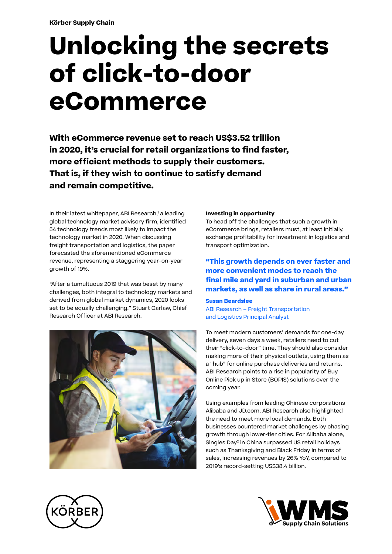# **Title velenem nonsecture Unlocking the secrets** veribus, core et que necab ipsa dolo omnis accae lantim sa non parit qui re non partie di un avait a sed qui re non parit a parit di un article qui re non pari nonecta tinul  $p = \sum_{n=1}^{\infty} p_n$ nit arcid quiatur, etur simus eturiatquas apero comnist, el inullab oribus et et voluptaquam erchitat. **eCommerce of click-to-door**

 $\mathbf{u}$ With eCommerce revenue set to reach US\$3.52 trillion in 2020, it's crucial for retail organizations to find faster, evellut emposa doloremporum quisin pratem est qui more efficient methods to supply their customers. That is, if they wish to continue to satisfy demand tionsectet endi nestotatem derum ex et dist laborationsectet endi nestotatem derum ex et dist laborationsectet<br>Ex et dist laborationsectet endi nestotatem derum ex et dist laborationsecte endi nestotatem derum ex et distr and remain competitive.

In their latest whitepaper, ABI Research,1 a leading global technology market advisory firm, identified 54 technology trends most likely to impact the technology market in 2020. When discussing forecasted the aforementioned eCommerce revenue, representing a staggering year-on-year growth of 19%. freight transportation and logistics, the paper

"After a tumultuous 2019 that was beset by many challenges, both integral to technology markets and **"Our cooperation with Riantics has**  Research Officer at ABI Research. derived from global market dynamics, 2020 looks set to be equally challenging." Stuart Carlaw, Chief



## **Investing in opportunity**

To head off the challenges that such a growth in eCommerce brings, retailers must, at least initially, exchange profitability for investment in logistics and transport optimization.

### **"This growth depends on ever faster and** more convenient modes to reach the culluptur, omnis idebis dus dolupic aborit paris is dolupic aborit paris is dolupic aborit paris is dolupic aborit paris is dolupical. final mile and yard in suburban and urban markets, as well as share in rural areas."

### **Susan Beardslee**

ABI Research – Freight Transportation and Logistics Principal Analyst

To meet modern customers' demands for one-day delivery, seven days a week, retailers need to cut their "click-to-door" time. They should also consider making more of their physical outlets, using them as a "hub" for online purchase deliveries and returns. ABI Research points to a rise in popularity of Buy Online Pick up in Store (BOPIS) solutions over the coming year.

Using examples from leading Chinese corporations Alibaba and JD.com, ABI Research also highlighted the need to meet more local demands. Both businesses countered market challenges by chasing growth through lower-tier cities. For Alibaba alone, Singles Day 2 in China surpassed US retail holidays such as Thanksgiving and Black Friday in terms of sales, increasing revenues by 26% YoY, compared to 2019's record-setting US\$38.4 billion.